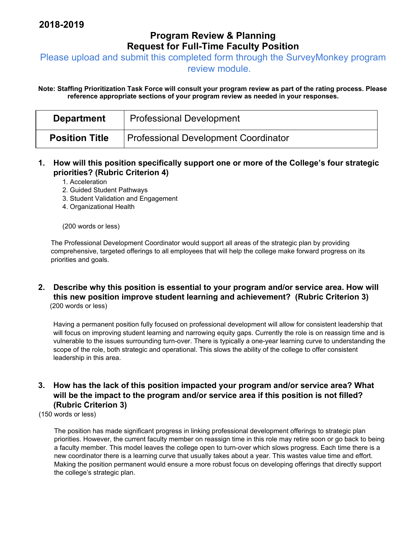## **Program Review & Planning Request for Full-Time Faculty Position**

Please upload and submit this completed form through the SurveyMonkey program

review module.

**Note: Staffing Prioritization Task Force will consult your program review as part of the rating process. Please reference appropriate sections of your program review as needed in your responses.** 

| <b>Department</b>     | <b>Professional Development</b>      |
|-----------------------|--------------------------------------|
| <b>Position Title</b> | Professional Development Coordinator |

- **1. How will this position specifically support one or more of the College's four strategic priorities? (Rubric Criterion 4)** 
	- 1. Acceleration
	- 2. Guided Student Pathways
	- 3. Student Validation and Engagement
	- 4. Organizational Health

(200 words or less)

The Professional Development Coordinator would support all areas of the strategic plan by providing comprehensive, targeted offerings to all employees that will help the college make forward progress on its priorities and goals.

**2. Describe why this position is essential to your program and/or service area. How will this new position improve student learning and achievement? (Rubric Criterion 3)**  (200 words or less)

Having a permanent position fully focused on professional development will allow for consistent leadership that will focus on improving student learning and narrowing equity gaps. Currently the role is on reassign time and is vulnerable to the issues surrounding turn-over. There is typically a one-year learning curve to understanding the scope of the role, both strategic and operational. This slows the ability of the college to offer consistent leadership in this area.

## **3. How has the lack of this position impacted your program and/or service area? What will be the impact to the program and/or service area if this position is not filled? (Rubric Criterion 3)**

(150 words or less)

The position has made significant progress in linking professional development offerings to strategic plan priorities. However, the current faculty member on reassign time in this role may retire soon or go back to being a faculty member. This model leaves the college open to turn-over which slows progress. Each time there is a new coordinator there is a learning curve that usually takes about a year. This wastes value time and effort. Making the position permanent would ensure a more robust focus on developing offerings that directly support the college's strategic plan.